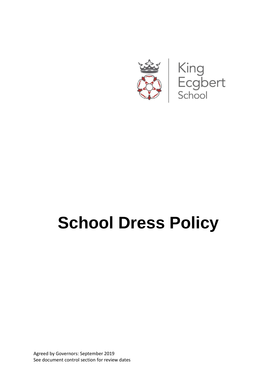

# **School Dress Policy**

Agreed by Governors: September 2019 See document control section for review dates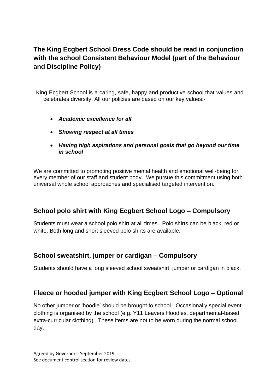# **The King Ecgbert School Dress Code should be read in conjunction with the school Consistent Behaviour Model (part of the Behaviour and Discipline Policy)**

King Ecgbert School is a caring, safe, happy and productive school that values and celebrates diversity. All our policies are based on our key values:-

- *Academic excellence for all*
- *Showing respect at all times*
- *Having high aspirations and personal goals that go beyond our time in school*

We are committed to promoting positive mental health and emotional well-being for every member of our staff and student body. We pursue this commitment using both universal whole school approaches and specialised targeted intervention.

#### **School polo shirt with King Ecgbert School Logo – Compulsory**

Students must wear a school polo shirt at all times. Polo shirts can be black, red or white. Both long and short sleeved polo shirts are available.

#### **School sweatshirt, jumper or cardigan – Compulsory**

Students should have a long sleeved school sweatshirt, jumper or cardigan in black.

#### **Fleece or hooded jumper with King Ecgbert School Logo – Optional**

No other jumper or 'hoodie' should be brought to school. Occasionally special event clothing is organised by the school (e.g. Y11 Leavers Hoodies, departmental-based extra-curricular clothing). These items are not to be worn during the normal school day.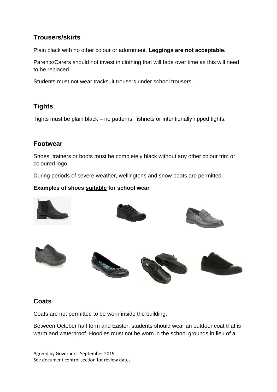# **Trousers/skirts**

Plain black with no other colour or adornment. **Leggings are not acceptable.**

Parents/Carers should not invest in clothing that will fade over time as this will need to be replaced.

Students must not wear tracksuit trousers under school trousers.

# **Tights**

Tights must be plain black – no patterns, fishnets or intentionally ripped tights.

#### **Footwear**

Shoes, trainers or boots must be completely black without any other colour trim or coloured logo.

During periods of severe weather, wellingtons and snow boots are permitted.

#### **Examples of shoes suitable for school wear**



#### **Coats**

Coats are not permitted to be worn inside the building.

Between October half term and Easter, students should wear an outdoor coat that is warm and waterproof. Hoodies must not be worn in the school grounds in lieu of a

Agreed by Governors: September 2019 See document control section for review dates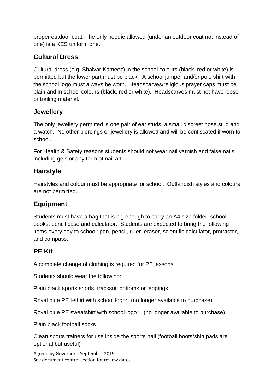proper outdoor coat. The only hoodie allowed (under an outdoor coat not instead of one) is a KES uniform one.

# **Cultural Dress**

Cultural dress (e.g. Shalvar Kameez) in the school colours (black, red or white) is permitted but the lower part must be black. A school jumper and/or polo shirt with the school logo must always be worn. Headscarves/religious prayer caps must be plain and in school colours (black, red or white). Headscarves must not have loose or trailing material.

## **Jewellery**

The only jewellery permitted is one pair of ear studs, a small discreet nose stud and a watch. No other piercings or jewellery is allowed and will be confiscated if worn to school.

For Health & Safety reasons students should not wear nail varnish and false nails including gels or any form of nail art.

## **Hairstyle**

Hairstyles and colour must be appropriate for school. Outlandish styles and colours are not permitted.

# **Equipment**

Students must have a bag that is big enough to carry an A4 size folder, school books, pencil case and calculator. Students are expected to bring the following items every day to school: pen, pencil, ruler, eraser, scientific calculator, protractor, and compass.

#### **PE Kit**

A complete change of clothing is required for PE lessons.

Students should wear the following:

Plain black sports shorts, tracksuit bottoms or leggings

Royal blue PE t-shirt with school logo\* (no longer available to purchase)

Royal blue PE sweatshirt with school logo\* (no longer available to purchase)

Plain black football socks

Clean sports trainers for use inside the sports hall (football boots/shin pads are optional but useful)

Agreed by Governors: September 2019 See document control section for review dates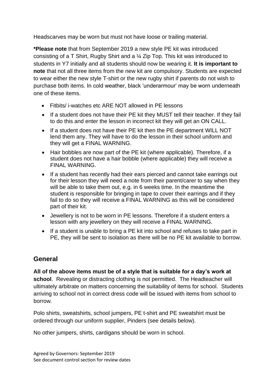Headscarves may be worn but must not have loose or trailing material.

**\*Please note** that from September 2019 a new style PE kit was introduced consisting of a T Shirt, Rugby Shirt and a ¼ Zip Top. This kit was introduced to students in Y7 initially and all students should now be wearing it. **It is important to note** that not all three items from the new kit are compulsory. Students are expected to wear either the new style T-shirt or the new rugby shirt if parents do not wish to purchase both items. In cold weather, black 'underarmour' may be worn underneath one of these items.

- Fitbits/ i-watches etc ARE NOT allowed in PE lessons
- If a student does not have their PE kit they MUST tell their teacher. If they fail to do this and enter the lesson in incorrect kit they will get an ON CALL.
- If a student does not have their PE kit then the PE department WILL NOT lend them any. They will have to do the lesson in their school uniform and they will get a FINAL WARNING.
- Hair bobbles are now part of the PE kit (where applicable). Therefore, if a student does not have a hair bobble (where applicable) they will receive a FINAL WARNING.
- If a student has recently had their ears pierced and cannot take earrings out for their lesson they will need a note from their parent/carer to say when they will be able to take them out, e.g. in 6 weeks time. In the meantime the student is responsible for bringing in tape to cover their earrings and if they fail to do so they will receive a FINAL WARNING as this will be considered part of their kit.
- Jewellery is not to be worn in PE lessons. Therefore if a student enters a lesson with any jewellery on they will receive a FINAL WARNING.
- If a student is unable to bring a PE kit into school and refuses to take part in PE, they will be sent to isolation as there will be no PE kit available to borrow.

# **General**

**All of the above items must be of a style that is suitable for a day's work at school**. Revealing or distracting clothing is not permitted. The Headteacher will ultimately arbitrate on matters concerning the suitability of items for school. Students arriving to school not in correct dress code will be issued with items from school to borrow.

Polo shirts, sweatshirts, school jumpers, PE t-shirt and PE sweatshirt must be ordered through our uniform supplier, Pinders (see details below).

No other jumpers, shirts, cardigans should be worn in school.